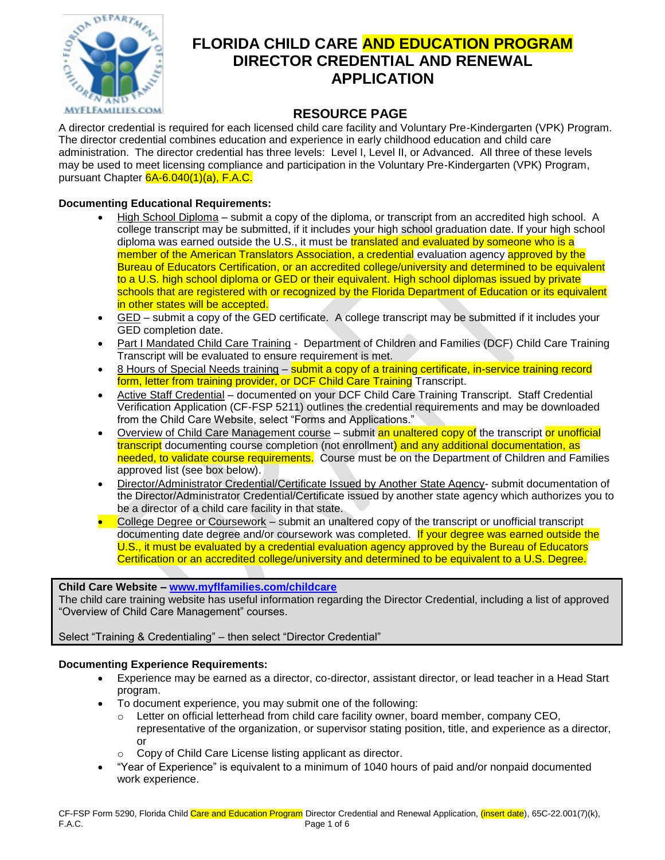

# **FLORIDA CHILD CARE AND EDUCATION PROGRAM DIRECTOR CREDENTIAL AND RENEWAL APPLICATION**

## **RESOURCE PAGE**

A director credential is required for each licensed child care facility and Voluntary Pre-Kindergarten (VPK) Program. The director credential combines education and experience in early childhood education and child care administration. The director credential has three levels: Level I, Level II, or Advanced. All three of these levels may be used to meet licensing compliance and participation in the Voluntary Pre-Kindergarten (VPK) Program, pursuant Chapter 6A-6.040(1)(a), F.A.C.

#### **Documenting Educational Requirements:**

- High School Diploma submit a copy of the diploma, or transcript from an accredited high school. A college transcript may be submitted, if it includes your high school graduation date. If your high school diploma was earned outside the U.S., it must be translated and evaluated by someone who is a member of the American Translators Association, a credential evaluation agency approved by the Bureau of Educators Certification, or an accredited college/university and determined to be equivalent to a U.S. high school diploma or GED or their equivalent. High school diplomas issued by private schools that are registered with or recognized by the Florida Department of Education or its equivalent in other states will be accepted.
- GED submit a copy of the GED certificate. A college transcript may be submitted if it includes your GED completion date.
- Part I Mandated Child Care Training Department of Children and Families (DCF) Child Care Training Transcript will be evaluated to ensure requirement is met.
- 8 Hours of Special Needs training submit a copy of a training certificate, in-service training record form, letter from training provider, or DCF Child Care Training Transcript.
- Active Staff Credential documented on your DCF Child Care Training Transcript. Staff Credential Verification Application (CF-FSP 5211) outlines the credential requirements and may be downloaded from the Child Care Website, select "Forms and Applications."
- Overview of Child Care Management course submit an unaltered copy of the transcript or unofficial transcript documenting course completion (not enrollment) and any additional documentation, as needed, to validate course requirements. Course must be on the Department of Children and Families approved list (see box below).
- Director/Administrator Credential/Certificate Issued by Another State Agency- submit documentation of the Director/Administrator Credential/Certificate issued by another state agency which authorizes you to be a director of a child care facility in that state.
- College Degree or Coursework submit an unaltered copy of the transcript or unofficial transcript documenting date degree and/or coursework was completed. If your degree was earned outside the U.S., it must be evaluated by a credential evaluation agency approved by the Bureau of Educators Certification or an accredited college/university and determined to be equivalent to a U.S. Degree.

#### **Child Care Website – [www.myflfamilies.com/childcare](http://www.myflfamilies.com/childcare)**

The child care training website has useful information regarding the Director Credential, including a list of approved "Overview of Child Care Management" courses.

#### Select "Training & Credentialing" – then select "Director Credential"

#### **Documenting Experience Requirements:**

- Experience may be earned as a director, co-director, assistant director, or lead teacher in a Head Start program.
- To document experience, you may submit one of the following:
	- $\circ$  Letter on official letterhead from child care facility owner, board member, company CEO, representative of the organization, or supervisor stating position, title, and experience as a director, or
	- Copy of Child Care License listing applicant as director.
- "Year of Experience" is equivalent to a minimum of 1040 hours of paid and/or nonpaid documented work experience.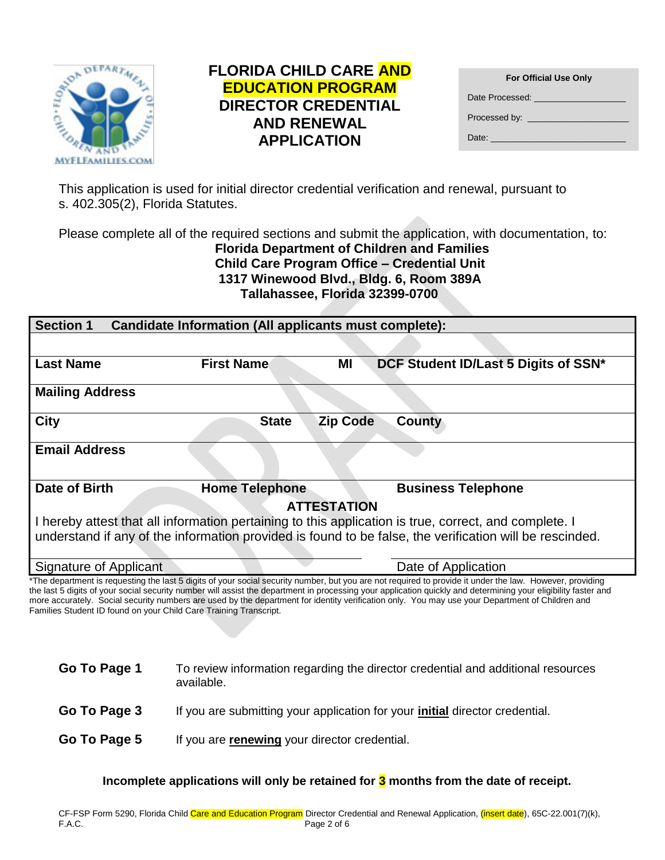

## **FLORIDA CHILD CARE AND EDUCATION PROGRAM DIRECTOR CREDENTIAL AND RENEWAL APPLICATION**

| <b>For Official Use Only</b>                                                                                                                                                                                                        |
|-------------------------------------------------------------------------------------------------------------------------------------------------------------------------------------------------------------------------------------|
| Date Processed: National Contract of the Contract of the Contract of the Contract of the Contract of the Contr                                                                                                                      |
| <b>Processed by:</b> The contract of the contract of the contract of the contract of the contract of the contract of the contract of the contract of the contract of the contract of the contract of the contract of the contract o |
| Date: <b>Date: Date:</b>                                                                                                                                                                                                            |

This application is used for initial director credential verification and renewal, pursuant to s. 402.305(2), Florida Statutes.

Please complete all of the required sections and submit the application, with documentation, to: **Florida Department of Children and Families Child Care Program Office – Credential Unit 1317 Winewood Blvd., Bldg. 6, Room 389A Tallahassee, Florida 32399-0700**

| <b>Section 1</b><br>Candidate Information (All applicants must complete): |                       |                                                                                                                                                                                                                                                                                                                                                                                           |
|---------------------------------------------------------------------------|-----------------------|-------------------------------------------------------------------------------------------------------------------------------------------------------------------------------------------------------------------------------------------------------------------------------------------------------------------------------------------------------------------------------------------|
|                                                                           |                       |                                                                                                                                                                                                                                                                                                                                                                                           |
| <b>Last Name</b>                                                          | <b>First Name</b>     | DCF Student ID/Last 5 Digits of SSN*<br>ΜI                                                                                                                                                                                                                                                                                                                                                |
| <b>Mailing Address</b>                                                    |                       |                                                                                                                                                                                                                                                                                                                                                                                           |
| <b>City</b>                                                               | <b>State</b>          | <b>Zip Code</b><br>County                                                                                                                                                                                                                                                                                                                                                                 |
| <b>Email Address</b>                                                      |                       |                                                                                                                                                                                                                                                                                                                                                                                           |
| Date of Birth                                                             | <b>Home Telephone</b> | <b>Business Telephone</b>                                                                                                                                                                                                                                                                                                                                                                 |
|                                                                           |                       | <b>ATTESTATION</b>                                                                                                                                                                                                                                                                                                                                                                        |
|                                                                           |                       | I hereby attest that all information pertaining to this application is true, correct, and complete. I<br>understand if any of the information provided is found to be false, the verification will be rescinded.                                                                                                                                                                          |
|                                                                           |                       |                                                                                                                                                                                                                                                                                                                                                                                           |
| Signature of Applicant                                                    |                       | Date of Application                                                                                                                                                                                                                                                                                                                                                                       |
|                                                                           |                       | *The department is requesting the last 5 digits of your social security number, but you are not required to provide it under the law. However, providing<br>, home abstract is contracted a control with March Constantinoperation of the construction of the control of the control of the March Constantinoperation of the Constantinoperation of the Constantinoperation of the Consta |

the last 5 digits of your social security number will assist the department in processing your application quickly and determining your eligibility faster and more accurately. Social security numbers are used by the department for identity verification only. You may use your Department of Children and Families Student ID found on your Child Care Training Transcript.

| Go To Page 1 | To review information regarding the director credential and additional resources<br>available. |
|--------------|------------------------------------------------------------------------------------------------|
| Go To Page 3 | If you are submitting your application for your <i>initial</i> director credential.            |
| Go To Page 5 | If you are renewing your director credential.                                                  |

**Incomplete applications will only be retained for 3 months from the date of receipt.**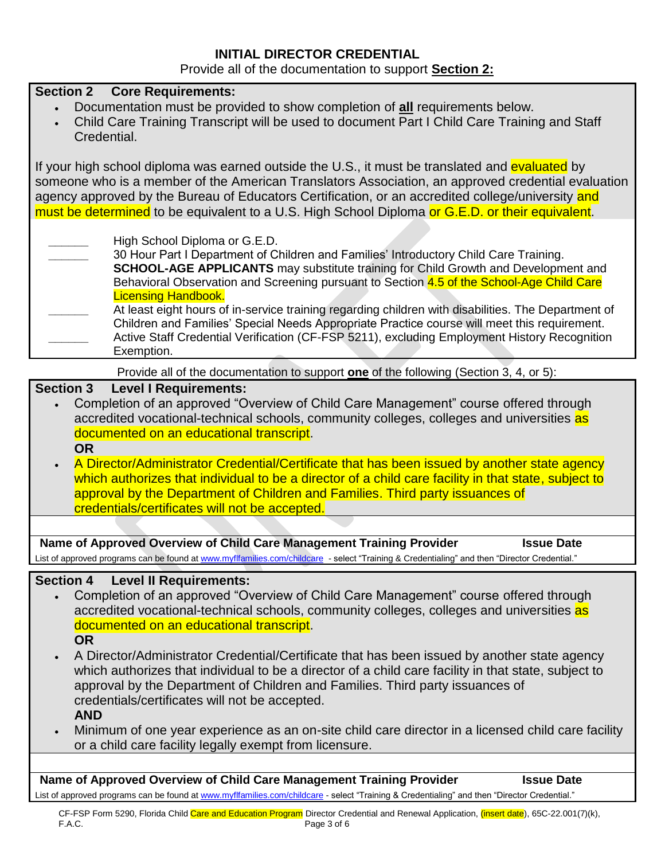# **INITIAL DIRECTOR CREDENTIAL**

Provide all of the documentation to support **Section 2:**

| <b>Section 2 Core Requirements:</b><br>Documentation must be provided to show completion of all requirements below.<br>Child Care Training Transcript will be used to document Part I Child Care Training and Staff<br>Credential.                                                                                                                                                                                                                                                                                                                                                                                                        |
|-------------------------------------------------------------------------------------------------------------------------------------------------------------------------------------------------------------------------------------------------------------------------------------------------------------------------------------------------------------------------------------------------------------------------------------------------------------------------------------------------------------------------------------------------------------------------------------------------------------------------------------------|
| If your high school diploma was earned outside the U.S., it must be translated and evaluated by<br>someone who is a member of the American Translators Association, an approved credential evaluation<br>agency approved by the Bureau of Educators Certification, or an accredited college/university and<br>must be determined to be equivalent to a U.S. High School Diploma or G.E.D. or their equivalent.                                                                                                                                                                                                                            |
| High School Diploma or G.E.D.<br>30 Hour Part I Department of Children and Families' Introductory Child Care Training.<br><b>SCHOOL-AGE APPLICANTS</b> may substitute training for Child Growth and Development and<br>Behavioral Observation and Screening pursuant to Section 4.5 of the School-Age Child Care<br><b>Licensing Handbook.</b>                                                                                                                                                                                                                                                                                            |
| At least eight hours of in-service training regarding children with disabilities. The Department of<br>Children and Families' Special Needs Appropriate Practice course will meet this requirement.<br>Active Staff Credential Verification (CF-FSP 5211), excluding Employment History Recognition<br>Exemption.                                                                                                                                                                                                                                                                                                                         |
| Provide all of the documentation to support one of the following (Section 3, 4, or 5):                                                                                                                                                                                                                                                                                                                                                                                                                                                                                                                                                    |
| <b>Section 3</b><br><b>Level I Requirements:</b><br>Completion of an approved "Overview of Child Care Management" course offered through<br>accredited vocational-technical schools, community colleges, colleges and universities as<br>documented on an educational transcript.<br><b>OR</b><br>A Director/Administrator Credential/Certificate that has been issued by another state agency<br>which authorizes that individual to be a director of a child care facility in that state, subject to<br>approval by the Department of Children and Families. Third party issuances of<br>credentials/certificates will not be accepted. |
|                                                                                                                                                                                                                                                                                                                                                                                                                                                                                                                                                                                                                                           |
| Name of Approved Overview of Child Care Management Training Provider<br><b>Issue Date</b><br>List of approved programs can be found at www.myflfamilies.com/childcare - select "Training & Credentialing" and then "Director Credential."                                                                                                                                                                                                                                                                                                                                                                                                 |
|                                                                                                                                                                                                                                                                                                                                                                                                                                                                                                                                                                                                                                           |
| <b>Section 4</b><br><b>Level II Requirements:</b><br>Completion of an approved "Overview of Child Care Management" course offered through<br>accredited vocational-technical schools, community colleges, colleges and universities as<br>documented on an educational transcript.<br><b>OR</b>                                                                                                                                                                                                                                                                                                                                           |
| A Director/Administrator Credential/Certificate that has been issued by another state agency<br>which authorizes that individual to be a director of a child care facility in that state, subject to<br>approval by the Department of Children and Families. Third party issuances of<br>credentials/certificates will not be accepted.<br><b>AND</b>                                                                                                                                                                                                                                                                                     |
| Minimum of one year experience as an on-site child care director in a licensed child care facility<br>or a child care facility legally exempt from licensure.                                                                                                                                                                                                                                                                                                                                                                                                                                                                             |
|                                                                                                                                                                                                                                                                                                                                                                                                                                                                                                                                                                                                                                           |
| Name of Approved Overview of Child Care Management Training Provider<br><b>Issue Date</b><br>List of approved programs can be found at www.myflfamilies.com/childcare - select "Training & Credentialing" and then "Director Credential."                                                                                                                                                                                                                                                                                                                                                                                                 |
| CF-FSP Form 5290, Florida Child Care and Education Program Director Credential and Renewal Application, (insert date), 65C-22.001(7)(k),<br>F.A.C.<br>Page 3 of 6                                                                                                                                                                                                                                                                                                                                                                                                                                                                         |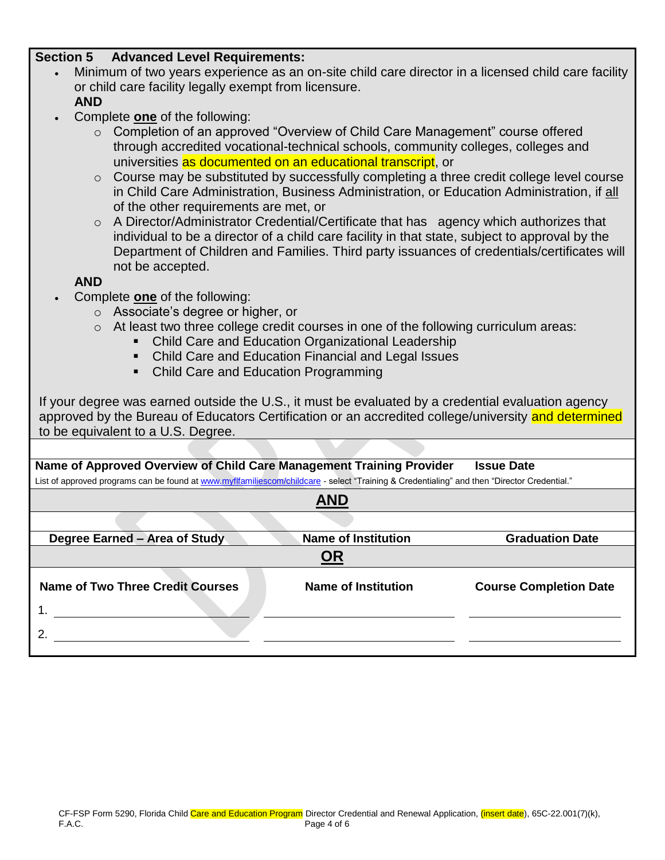### **Section 5 Advanced Level Requirements:**

- Minimum of two years experience as an on-site child care director in a licensed child care facility or child care facility legally exempt from licensure. **AND**
- Complete **one** of the following:
	- o Completion of an approved "Overview of Child Care Management" course offered through accredited vocational-technical schools, community colleges, colleges and universities as documented on an educational transcript, or
	- $\circ$  Course may be substituted by successfully completing a three credit college level course in Child Care Administration, Business Administration, or Education Administration, if all of the other requirements are met, or
	- o A Director/Administrator Credential/Certificate that has agency which authorizes that individual to be a director of a child care facility in that state, subject to approval by the Department of Children and Families. Third party issuances of credentials/certificates will not be accepted.

**AND**

- Complete **one** of the following:
	- o Associate's degree or higher, or
	- $\circ$  At least two three college credit courses in one of the following curriculum areas:
		- Child Care and Education Organizational Leadership
		- Child Care and Education Financial and Legal Issues
		- Child Care and Education Programming

If your degree was earned outside the U.S., it must be evaluated by a credential evaluation agency approved by the Bureau of Educators Certification or an accredited college/university and determined to be equivalent to a U.S. Degree.

**Name of Approved Overview of Child Care Management Training Provider Issue Date** List of approved programs can be found at [www.myflfamiliescom/childcare](http://www.myflfamiliescom/childcare) - select "Training & Credentialing" and then "Director Credential."

| <b>Name of Institution</b> | <b>Graduation Date</b>        |
|----------------------------|-------------------------------|
| <b>OR</b>                  |                               |
| <b>Name of Institution</b> | <b>Course Completion Date</b> |
|                            |                               |
|                            |                               |
|                            | <b>AND</b>                    |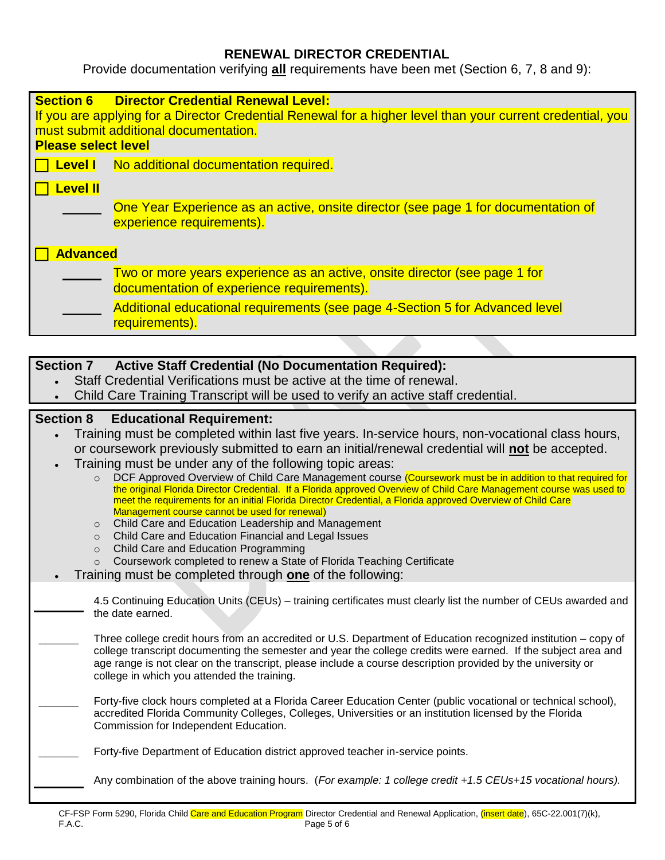## **RENEWAL DIRECTOR CREDENTIAL**

Provide documentation verifying **all** requirements have been met (Section 6, 7, 8 and 9):

| <b>Section 6</b>           | <b>Director Credential Renewal Level:</b>                                                                            |
|----------------------------|----------------------------------------------------------------------------------------------------------------------|
|                            | If you are applying for a Director Credential Renewal for a higher level than your current credential, you           |
| <b>Please select level</b> | must submit additional documentation.                                                                                |
|                            |                                                                                                                      |
| <b>Level I</b>             | No additional documentation required.                                                                                |
| <b>Level II</b>            |                                                                                                                      |
|                            | One Year Experience as an active, onsite director (see page 1 for documentation of<br>experience requirements).      |
|                            |                                                                                                                      |
| <b>Advanced</b>            |                                                                                                                      |
|                            | Two or more years experience as an active, onsite director (see page 1 for                                           |
|                            | documentation of experience requirements).                                                                           |
|                            | Additional educational requirements (see page 4-Section 5 for Advanced level                                         |
|                            | requirements).                                                                                                       |
|                            |                                                                                                                      |
| <b>Section 7</b>           | <b>Active Staff Credential (No Documentation Required):</b>                                                          |
|                            | Staff Credential Verifications must be active at the time of renewal.                                                |
|                            | Child Care Training Transcript will be used to verify an active staff credential.                                    |
| <b>Section 8</b>           | <b>Educational Requirement:</b>                                                                                      |
|                            | Training must be completed within last five years. In-service hours, non-vocational class hours,                     |
|                            | or coursework previously submitted to earn an initial/renewal credential will not be accepted.                       |
|                            | Training must be under any of the following topic areas:                                                             |
| $\circ$                    | DCF Approved Overview of Child Care Management course (Coursework must be in addition to that required for           |
|                            | the original Florida Director Credential. If a Florida approved Overview of Child Care Management course was used to |

- meet the requirements for an initial Florida Director Credential, a Florida approved Overview of Child Care Management course cannot be used for renewal)
	- o Child Care and Education Leadership and Management
	- o Child Care and Education Financial and Legal Issues
	- o Child Care and Education Programming
	- o Coursework completed to renew a State of Florida Teaching Certificate
- Training must be completed through **one** of the following:

4.5 Continuing Education Units (CEUs) – training certificates must clearly list the number of CEUs awarded and the date earned.

**\_\_\_\_\_\_** Three college credit hours from an accredited or U.S. Department of Education recognized institution – copy of college transcript documenting the semester and year the college credits were earned. If the subject area and age range is not clear on the transcript, please include a course description provided by the university or college in which you attended the training.

**\_\_\_\_\_\_** Forty-five clock hours completed at a Florida Career Education Center (public vocational or technical school), accredited Florida Community Colleges, Colleges, Universities or an institution licensed by the Florida Commission for Independent Education.

Forty-five Department of Education district approved teacher in-service points.

Any combination of the above training hours. (*For example: 1 college credit +1.5 CEUs+15 vocational hours).*